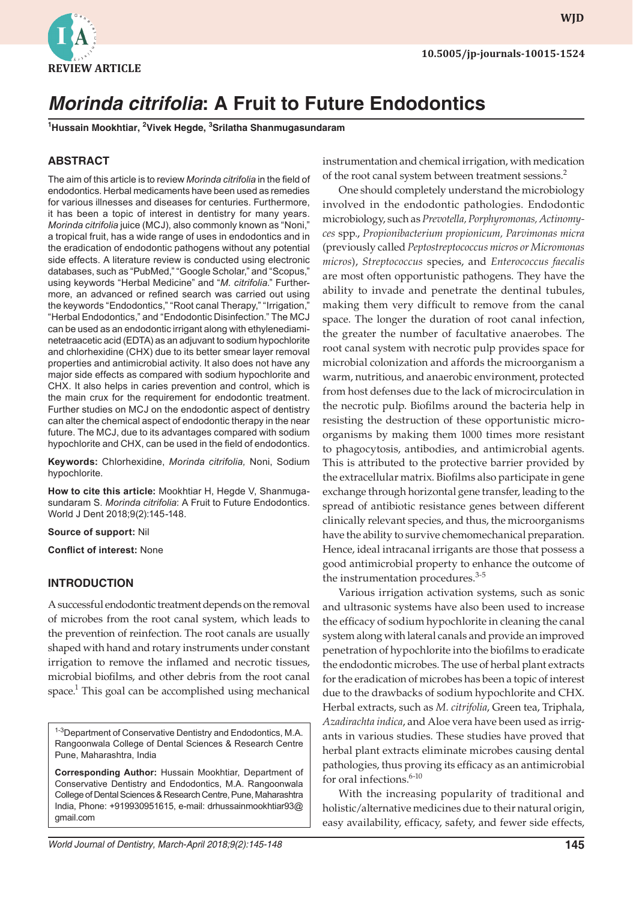

**wjd WJD**

## *Morinda citrifolia: A Fruit to Future Endodontics* **10.5005/jp-journals-10015-1524**

# *Morinda citrifolia***: A Fruit to Future Endodontics**

**1 Hussain Mookhtiar, 2 Vivek Hegde, 3 Srilatha Shanmugasundaram**

#### **ABSTRACT**

The aim of this article is to review *Morinda citrifolia* in the field of endodontics. Herbal medicaments have been used as remedies for various illnesses and diseases for centuries. Furthermore, it has been a topic of interest in dentistry for many years. *Morinda citrifolia* juice (MCJ), also commonly known as "Noni," a tropical fruit, has a wide range of uses in endodontics and in the eradication of endodontic pathogens without any potential side effects. A literature review is conducted using electronic databases, such as "PubMed," "Google Scholar," and "Scopus," using keywords "Herbal Medicine" and "*M. citrifolia*." Furthermore, an advanced or refined search was carried out using the keywords "Endodontics," "Root canal Therapy," "Irrigation,' "Herbal Endodontics," and "Endodontic Disinfection." The MCJ can be used as an endodontic irrigant along with ethylenediaminetetraacetic acid (EDTA) as an adjuvant to sodium hypochlorite and chlorhexidine (CHX) due to its better smear layer removal properties and antimicrobial activity. It also does not have any major side effects as compared with sodium hypochlorite and CHX. It also helps in caries prevention and control, which is the main crux for the requirement for endodontic treatment. Further studies on MCJ on the endodontic aspect of dentistry can alter the chemical aspect of endodontic therapy in the near future. The MCJ, due to its advantages compared with sodium hypochlorite and CHX, can be used in the field of endodontics.

**Keywords:** Chlorhexidine, *Morinda citrifolia,* Noni, Sodium hypochlorite.

**How to cite this article:** Mookhtiar H, Hegde V, Shanmugasundaram S. *Morinda citrifolia*: A Fruit to Future Endodontics. World J Dent 2018;9(2):145-148.

**Source of support:** Nil

**Conflict of interest:** None

#### **INTRODUCTION**

A successful endodontic treatment depends on the removal of microbes from the root canal system, which leads to the prevention of reinfection. The root canals are usually shaped with hand and rotary instruments under constant irrigation to remove the inflamed and necrotic tissues, microbial biofilms, and other debris from the root canal space.<sup>1</sup> This goal can be accomplished using mechanical

<sup>1-3</sup>Department of Conservative Dentistry and Endodontics, M.A. Rangoonwala College of Dental Sciences & Research Centre Pune, Maharashtra, India

**Corresponding Author:** Hussain Mookhtiar, Department of Conservative Dentistry and Endodontics, M.A. Rangoonwala College of Dental Sciences & Research Centre, Pune, Maharashtra India, Phone: +919930951615, e-mail: drhussainmookhtiar93@ gmail.com

instrumentation and chemical irrigation, with medication of the root canal system between treatment sessions.<sup>2</sup>

One should completely understand the microbiology involved in the endodontic pathologies. Endodontic microbiology, such as *Prevotella, Porphyromonas, Actinomyces* spp., *Propionibacterium propionicum, Parvimonas micra* (previously called *Peptostreptococcus micros or Micromonas micros*), *Streptococcus* species, and *Enterococcus faecalis* are most often opportunistic pathogens. They have the ability to invade and penetrate the dentinal tubules, making them very difficult to remove from the canal space. The longer the duration of root canal infection, the greater the number of facultative anaerobes. The root canal system with necrotic pulp provides space for microbial colonization and affords the microorganism a warm, nutritious, and anaerobic environment, protected from host defenses due to the lack of microcirculation in the necrotic pulp. Biofilms around the bacteria help in resisting the destruction of these opportunistic microorganisms by making them 1000 times more resistant to phagocytosis, antibodies, and antimicrobial agents. This is attributed to the protective barrier provided by the extracellular matrix. Biofilms also participate in gene exchange through horizontal gene transfer, leading to the spread of antibiotic resistance genes between different clinically relevant species, and thus, the microorganisms have the ability to survive chemomechanical preparation. Hence, ideal intracanal irrigants are those that possess a good antimicrobial property to enhance the outcome of the instrumentation procedures.<sup>3-5</sup>

Various irrigation activation systems, such as sonic and ultrasonic systems have also been used to increase the efficacy of sodium hypochlorite in cleaning the canal system along with lateral canals and provide an improved penetration of hypochlorite into the biofilms to eradicate the endodontic microbes. The use of herbal plant extracts for the eradication of microbes has been a topic of interest due to the drawbacks of sodium hypochlorite and CHX. Herbal extracts, such as *M. citrifolia*, Green tea, Triphala, *Azadirachta indica*, and Aloe vera have been used as irrigants in various studies. These studies have proved that herbal plant extracts eliminate microbes causing dental pathologies, thus proving its efficacy as an antimicrobial for oral infections. $6-10$ 

With the increasing popularity of traditional and holistic/alternative medicines due to their natural origin, easy availability, efficacy, safety, and fewer side effects,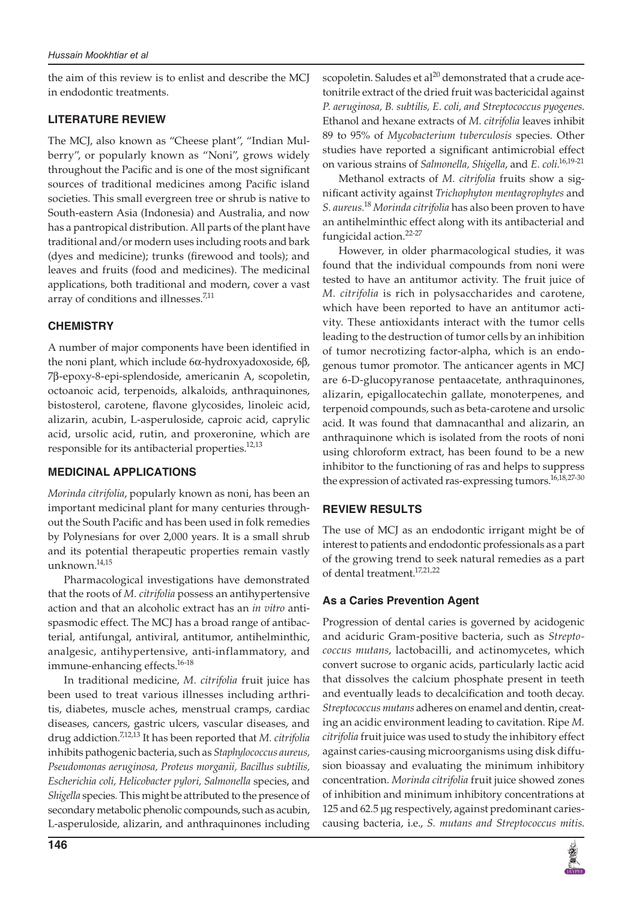the aim of this review is to enlist and describe the MCJ in endodontic treatments.

### **LITERATURE REVIEW**

The MCJ, also known as "Cheese plant", "Indian Mulberry", or popularly known as "Noni", grows widely throughout the Pacific and is one of the most significant sources of traditional medicines among Pacific island societies. This small evergreen tree or shrub is native to South-eastern Asia (Indonesia) and Australia, and now has a pantropical distribution. All parts of the plant have traditional and/or modern uses including roots and bark (dyes and medicine); trunks (firewood and tools); and leaves and fruits (food and medicines). The medicinal applications, both traditional and modern, cover a vast array of conditions and illnesses.<sup>7,11</sup>

### **CHEMISTRY**

A number of major components have been identified in the noni plant, which include 6α-hydroxyadoxoside, 6β, 7β-epoxy-8-epi-splendoside, americanin A, scopoletin, octoanoic acid, terpenoids, alkaloids, anthraquinones, bistosterol, carotene, flavone glycosides, linoleic acid, alizarin, acubin, L-asperuloside, caproic acid, caprylic acid, ursolic acid, rutin, and proxeronine, which are responsible for its antibacterial properties.<sup>12,13</sup>

### **MEDICINAL APPLICATIONS**

*Morinda citrifolia*, popularly known as noni, has been an important medicinal plant for many centuries throughout the South Pacific and has been used in folk remedies by Polynesians for over 2,000 years. It is a small shrub and its potential therapeutic properties remain vastly unknown.14,15

Pharmacological investigations have demonstrated that the roots of *M. citrifolia* possess an antihypertensive action and that an alcoholic extract has an *in vitro* antispasmodic effect. The MCJ has a broad range of antibacterial, antifungal, antiviral, antitumor, antihelminthic, analgesic, antihypertensive, anti-inflammatory, and immune-enhancing effects.16-18

In traditional medicine, *M. citrifolia* fruit juice has been used to treat various illnesses including arthritis, diabetes, muscle aches, menstrual cramps, cardiac diseases, cancers, gastric ulcers, vascular diseases, and drug addiction.7,12,13 It has been reported that *M. citrifolia* inhibits pathogenic bacteria, such as *Staphylococcus aureus, Pseudomonas aeruginosa, Proteus morganii, Bacillus subtilis, Escherichia coli, Helicobacter pylori, Salmonella* species, and *Shigella* species*.* This might be attributed to the presence of secondary metabolic phenolic compounds, such as acubin, L-asperuloside, alizarin, and anthraquinones including

scopoletin. Saludes et al<sup>20</sup> demonstrated that a crude acetonitrile extract of the dried fruit was bactericidal against *P. aeruginosa, B. subtilis, E. coli, and Streptococcus pyogenes*. Ethanol and hexane extracts of *M. citrifolia* leaves inhibit 89 to 95% of *Mycobacterium tuberculosis* species. Other studies have reported a significant antimicrobial effect on various strains of *Salmonella, Shigella*, and *E. coli*. 16,19-21

Methanol extracts of *M. citrifolia* fruits show a significant activity against *Trichophyton mentagrophytes* and *S. aureus.*<sup>18</sup> *Morinda citrifolia* has also been proven to have an antihelminthic effect along with its antibacterial and fungicidal action.22-27

However, in older pharmacological studies, it was found that the individual compounds from noni were tested to have an antitumor activity. The fruit juice of *M. citrifolia* is rich in polysaccharides and carotene, which have been reported to have an antitumor activity. These antioxidants interact with the tumor cells leading to the destruction of tumor cells by an inhibition of tumor necrotizing factor-alpha, which is an endogenous tumor promotor. The anticancer agents in MCJ are 6-D-glucopyranose pentaacetate, anthraquinones, alizarin, epigallocatechin gallate, monoterpenes, and terpenoid compounds, such as beta-carotene and ursolic acid. It was found that damnacanthal and alizarin, an anthraquinone which is isolated from the roots of noni using chloroform extract, has been found to be a new inhibitor to the functioning of ras and helps to suppress the expression of activated ras-expressing tumors.<sup>16,18,27-30</sup>

### **REVIEW RESULTS**

The use of MCJ as an endodontic irrigant might be of interest to patients and endodontic professionals as a part of the growing trend to seek natural remedies as a part of dental treatment.<sup>17,21,22</sup>

### **As a Caries Prevention Agent**

Progression of dental caries is governed by acidogenic and aciduric Gram-positive bacteria, such as *Streptococcus mutans*, lactobacilli, and actinomycetes, which convert sucrose to organic acids, particularly lactic acid that dissolves the calcium phosphate present in teeth and eventually leads to decalcification and tooth decay. *Streptococcus mutans* adheres on enamel and dentin, creating an acidic environment leading to cavitation. Ripe *M. citrifolia* fruit juice was used to study the inhibitory effect against caries-causing microorganisms using disk diffusion bioassay and evaluating the minimum inhibitory concentration. *Morinda citrifolia* fruit juice showed zones of inhibition and minimum inhibitory concentrations at 125 and 62.5 μg respectively, against predominant cariescausing bacteria, i.e., *S. mutans and Streptococcus mitis*.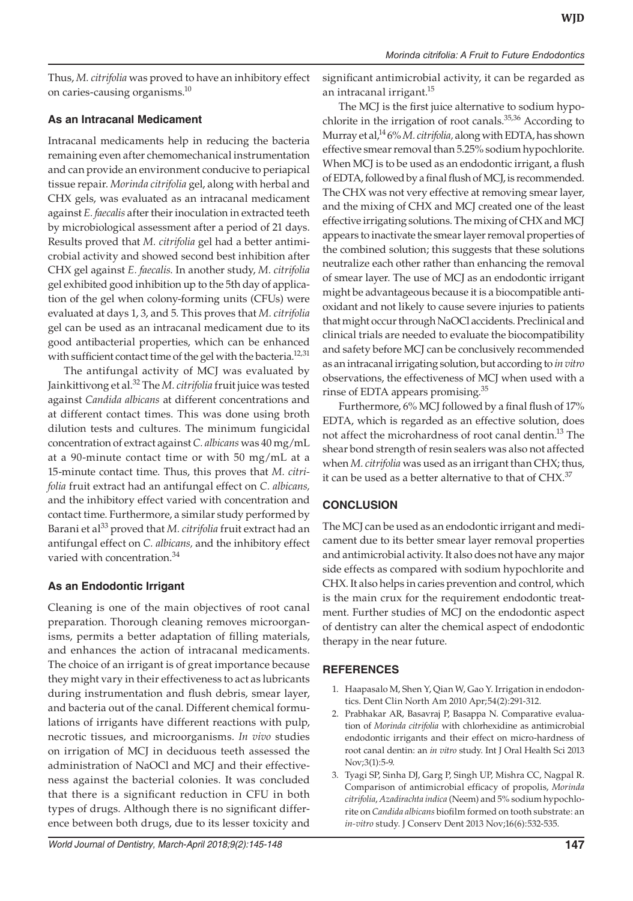Thus, *M. citrifolia* was proved to have an inhibitory effect on caries-causing organisms.10

#### **As an Intracanal Medicament**

Intracanal medicaments help in reducing the bacteria remaining even after chemomechanical instrumentation and can provide an environment conducive to periapical tissue repair. *Morinda citrifolia* gel, along with herbal and CHX gels, was evaluated as an intracanal medicament against *E. faecalis* after their inoculation in extracted teeth by microbiological assessment after a period of 21 days. Results proved that *M. citrifolia* gel had a better antimicrobial activity and showed second best inhibition after CHX gel against *E. faecalis*. In another study, *M. citrifolia* gel exhibited good inhibition up to the 5th day of application of the gel when colony-forming units (CFUs) were evaluated at days 1, 3, and 5. This proves that *M. citrifolia* gel can be used as an intracanal medicament due to its good antibacterial properties, which can be enhanced with sufficient contact time of the gel with the bacteria.<sup>12,31</sup>

The antifungal activity of MCJ was evaluated by Jainkittivong et al.<sup>32</sup> The *M. citrifolia* fruit juice was tested against *Candida albicans* at different concentrations and at different contact times. This was done using broth dilution tests and cultures. The minimum fungicidal concentration of extract against *C. albicans* was 40 mg/mL at a 90-minute contact time or with 50 mg/mL at a 15-minute contact time. Thus, this proves that *M. citrifolia* fruit extract had an antifungal effect on *C. albicans,* and the inhibitory effect varied with concentration and contact time. Furthermore, a similar study performed by Barani et al<sup>33</sup> proved that *M. citrifolia* fruit extract had an antifungal effect on *C. albicans,* and the inhibitory effect varied with concentration.<sup>34</sup>

### **As an Endodontic Irrigant**

Cleaning is one of the main objectives of root canal preparation. Thorough cleaning removes microorganisms, permits a better adaptation of filling materials, and enhances the action of intracanal medicaments. The choice of an irrigant is of great importance because they might vary in their effectiveness to act as lubricants during instrumentation and flush debris, smear layer, and bacteria out of the canal. Different chemical formulations of irrigants have different reactions with pulp, necrotic tissues, and microorganisms. *In vivo* studies on irrigation of MCJ in deciduous teeth assessed the administration of NaOCl and MCJ and their effectiveness against the bacterial colonies. It was concluded that there is a significant reduction in CFU in both types of drugs. Although there is no significant difference between both drugs, due to its lesser toxicity and

significant antimicrobial activity, it can be regarded as an intracanal irrigant.<sup>15</sup>

The MCJ is the first juice alternative to sodium hypochlorite in the irrigation of root canals. $35,36$  According to Murray et al,14 6% *M. citrifolia,* along with EDTA, has shown effective smear removal than 5.25% sodium hypochlorite. When MCJ is to be used as an endodontic irrigant, a flush of EDTA, followed by a final flush of MCJ, is recommended. The CHX was not very effective at removing smear layer, and the mixing of CHX and MCJ created one of the least effective irrigating solutions. The mixing of CHX and MCJ appears to inactivate the smear layer removal properties of the combined solution; this suggests that these solutions neutralize each other rather than enhancing the removal of smear layer. The use of MCJ as an endodontic irrigant might be advantageous because it is a biocompatible antioxidant and not likely to cause severe injuries to patients that might occur through NaOCl accidents. Preclinical and clinical trials are needed to evaluate the biocompatibility and safety before MCJ can be conclusively recommended as an intracanal irrigating solution, but according to *in vitro* observations, the effectiveness of MCJ when used with a rinse of EDTA appears promising.<sup>35</sup>

Furthermore, 6% MCJ followed by a final flush of 17% EDTA, which is regarded as an effective solution, does not affect the microhardness of root canal dentin.<sup>13</sup> The shear bond strength of resin sealers was also not affected when *M. citrifolia* was used as an irrigant than CHX; thus, it can be used as a better alternative to that of CHX.<sup>37</sup>

# **CONCLUSION**

The MCJ can be used as an endodontic irrigant and medicament due to its better smear layer removal properties and antimicrobial activity. It also does not have any major side effects as compared with sodium hypochlorite and CHX. It also helps in caries prevention and control, which is the main crux for the requirement endodontic treatment. Further studies of MCJ on the endodontic aspect of dentistry can alter the chemical aspect of endodontic therapy in the near future.

# **REFERENCES**

- 1. Haapasalo M, Shen Y, Qian W, Gao Y. Irrigation in endodontics. Dent Clin North Am 2010 Apr;54(2):291-312.
- 2. Prabhakar AR, Basavraj P, Basappa N. Comparative evaluation of *Morinda citrifolia* with chlorhexidine as antimicrobial endodontic irrigants and their effect on micro-hardness of root canal dentin: an *in vitro* study. Int J Oral Health Sci 2013 Nov;3(1):5-9.
- 3. Tyagi SP, Sinha DJ, Garg P, Singh UP, Mishra CC, Nagpal R. Comparison of antimicrobial efficacy of propolis, *Morinda citrifolia*, *Azadirachta indica* (Neem) and 5% sodium hypochlorite on *Candida albicans* biofilm formed on tooth substrate: an *in-vitro* study. J Conserv Dent 2013 Nov;16(6):532-535.